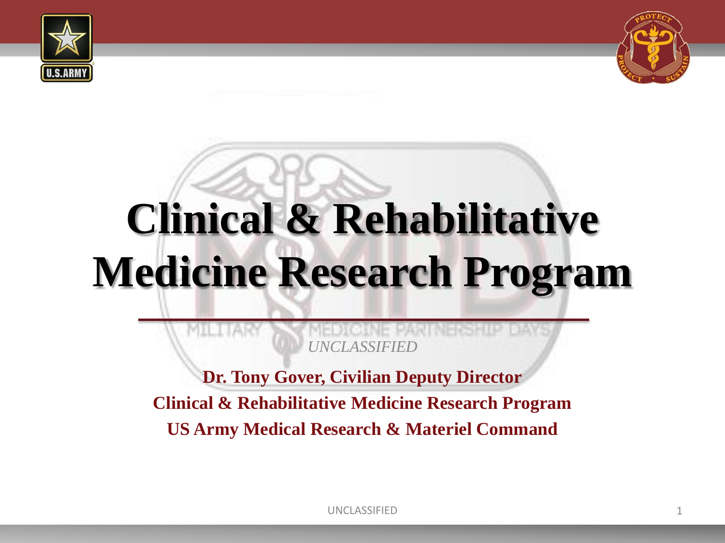



# **Clinical & Rehabilitative Medicine Research Program**

*UNCLASSIFIED*

**Dr. Tony Gover, Civilian Deputy Director Clinical & Rehabilitative Medicine Research Program US Army Medical Research & Materiel Command**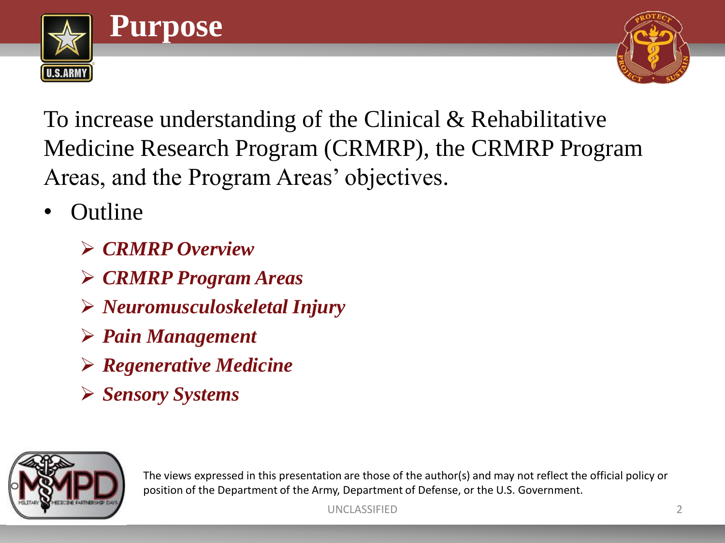



To increase understanding of the Clinical & Rehabilitative Medicine Research Program (CRMRP), the CRMRP Program Areas, and the Program Areas' objectives.

- Outline
	- *CRMRP Overview*
	- *CRMRP Program Areas*
	- *Neuromusculoskeletal Injury*
	- *Pain Management*
	- *Regenerative Medicine*
	- *Sensory Systems*



The views expressed in this presentation are those of the author(s) and may not reflect the official policy or position of the Department of the Army, Department of Defense, or the U.S. Government.

UNCLASSIFIED 2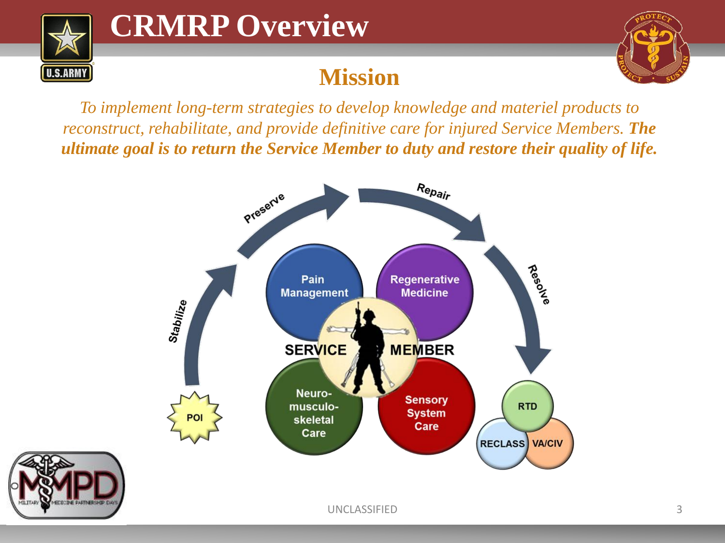

### **CRMRP Overview**

### **Mission**



*To implement long-term strategies to develop knowledge and materiel products to reconstruct, rehabilitate, and provide definitive care for injured Service Members. The ultimate goal is to return the Service Member to duty and restore their quality of life.*



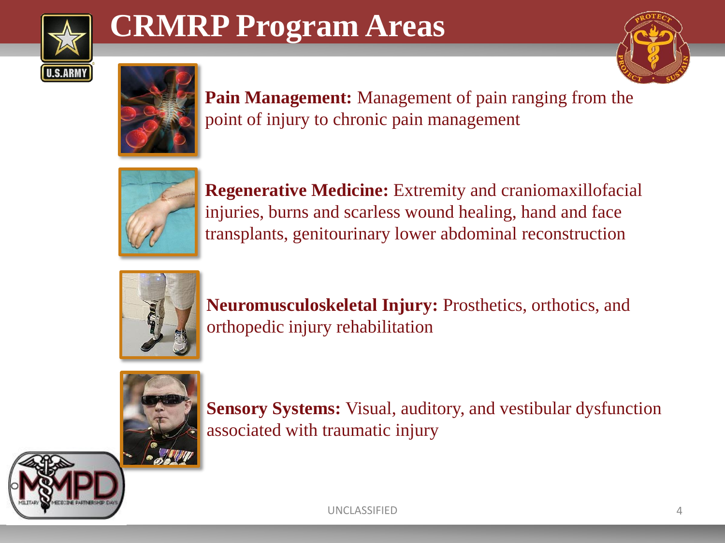

### **CRMRP Program Areas**





**Pain Management:** Management of pain ranging from the point of injury to chronic pain management



**Regenerative Medicine:** Extremity and craniomaxillofacial injuries, burns and scarless wound healing, hand and face transplants, genitourinary lower abdominal reconstruction



**Neuromusculoskeletal Injury:** Prosthetics, orthotics, and orthopedic injury rehabilitation



**Sensory Systems:** Visual, auditory, and vestibular dysfunction associated with traumatic injury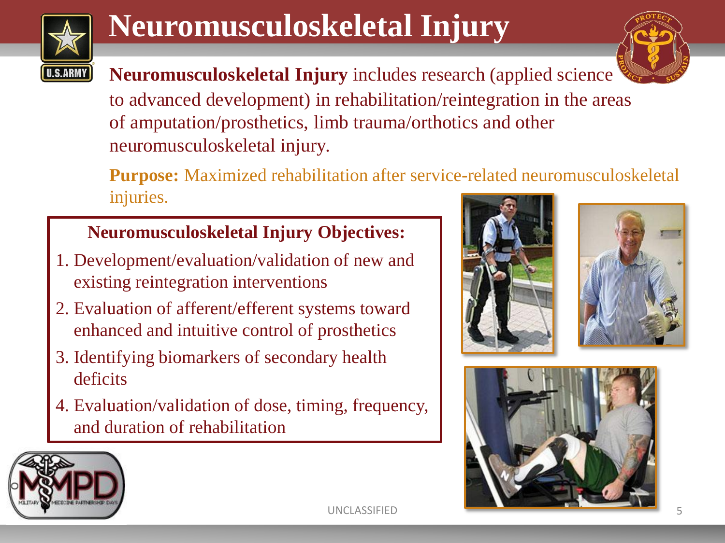

## **Neuromusculoskeletal Injury**



**Neuromusculoskeletal Injury** includes research (applied science to advanced development) in rehabilitation/reintegration in the areas of amputation/prosthetics, limb trauma/orthotics and other neuromusculoskeletal injury.

**Purpose:** Maximized rehabilitation after service-related neuromusculoskeletal injuries.

#### **Neuromusculoskeletal Injury Objectives:**

- 1. Development/evaluation/validation of new and existing reintegration interventions
- 2. Evaluation of afferent/efferent systems toward enhanced and intuitive control of prosthetics
- 3. Identifying biomarkers of secondary health deficits
- 4. Evaluation/validation of dose, timing, frequency, and duration of rehabilitation







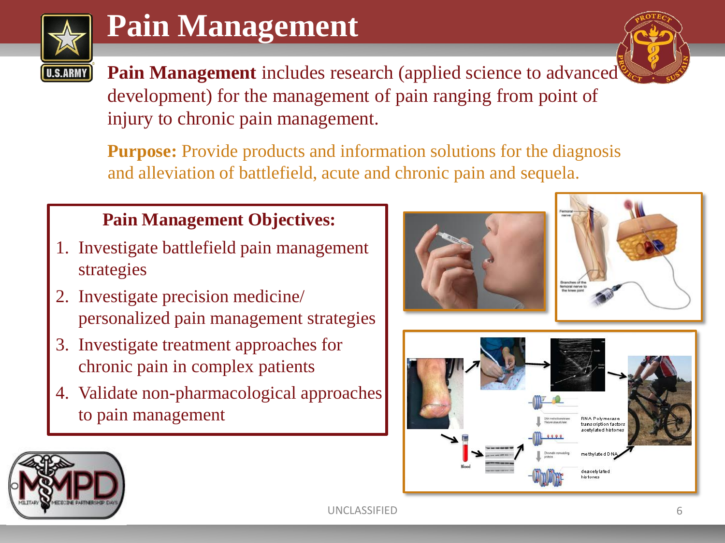

### **Pain Management**

Pain Management includes research (applied science to advanced development) for the management of pain ranging from point of injury to chronic pain management.

**Purpose:** Provide products and information solutions for the diagnosis and alleviation of battlefield, acute and chronic pain and sequela.

#### **Pain Management Objectives:**

- 1. Investigate battlefield pain management strategies
- 2. Investigate precision medicine/ personalized pain management strategies
- 3. Investigate treatment approaches for chronic pain in complex patients
- 4. Validate non-pharmacological approaches to pain management









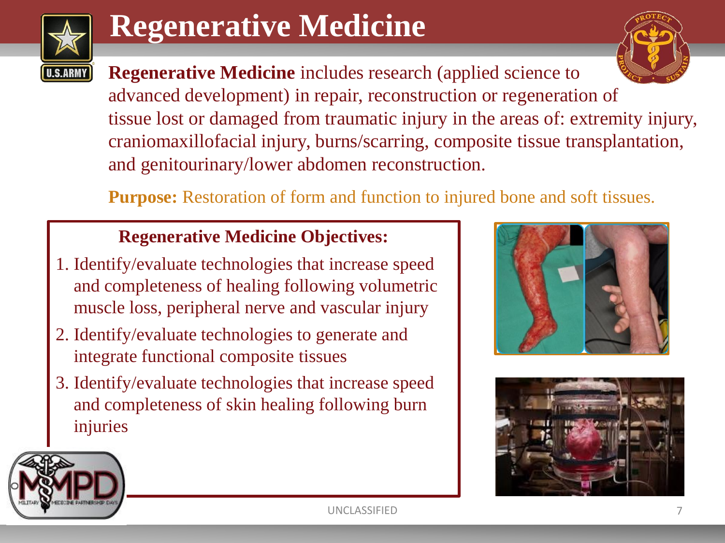

### **Regenerative Medicine**

**Regenerative Medicine** includes research (applied science to advanced development) in repair, reconstruction or regeneration of tissue lost or damaged from traumatic injury in the areas of: extremity injury, craniomaxillofacial injury, burns/scarring, composite tissue transplantation, and genitourinary/lower abdomen reconstruction.

**Purpose:** Restoration of form and function to injured bone and soft tissues.

#### **Regenerative Medicine Objectives:**

- 1. Identify/evaluate technologies that increase speed and completeness of healing following volumetric muscle loss, peripheral nerve and vascular injury
- 2. Identify/evaluate technologies to generate and integrate functional composite tissues
- 3. Identify/evaluate technologies that increase speed and completeness of skin healing following burn injuries







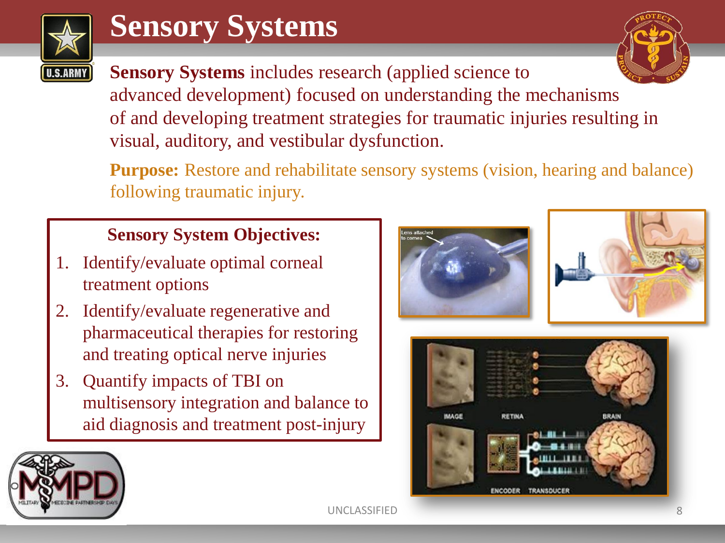

### **Sensory Systems**

**Sensory Systems** includes research (applied science to advanced development) focused on understanding the mechanisms of and developing treatment strategies for traumatic injuries resulting in visual, auditory, and vestibular dysfunction.

**Purpose:** Restore and rehabilitate sensory systems (vision, hearing and balance) following traumatic injury.

#### **Sensory System Objectives:**

- 1. Identify/evaluate optimal corneal treatment options
- 2. Identify/evaluate regenerative and pharmaceutical therapies for restoring and treating optical nerve injuries
- 3. Quantify impacts of TBI on multisensory integration and balance to aid diagnosis and treatment post-injury